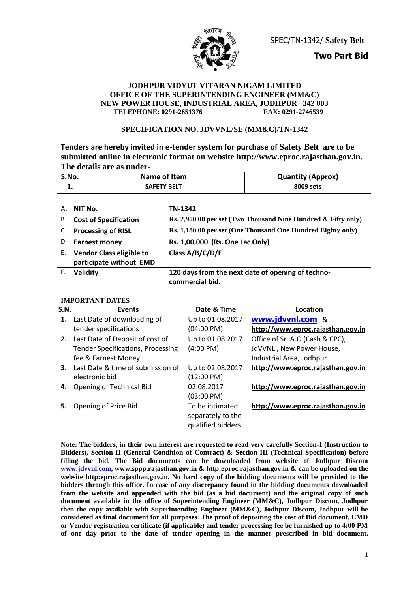

SPEC/TN-1342/ **Safety Belt**

**Two Part Bid**

#### **JODHPUR VIDYUT VITARAN NIGAM LIMITED OFFICE OF THE SUPERINTENDING ENGINEER (MM&C) NEW POWER HOUSE, INDUSTRIAL AREA, JODHPUR -342 003**<br>TELEPHONE: 0291-2651376 FAX: 0291-2746539  $TELEPHONE: 0291-2651376$

#### **SPECIFICATION NO. JDVVNL/SE (MM&C)/TN-1342**

**Tenders are hereby invited in e-tender system for purchase of Safety Belt are to be submitted online in electronic format on website http://www.eproc.rajasthan.gov.in. The details are as under-**

| S.No. | Name of Item       | <b>Quantity (Approx)</b> |
|-------|--------------------|--------------------------|
| . .   | <b>SAFETY BELT</b> | 8009 sets                |

| А. | NIT No.                         | TN-1342                                                       |
|----|---------------------------------|---------------------------------------------------------------|
| В. | <b>Cost of Specification</b>    | Rs. 2,950.00 per set (Two Thousand Nine Hundred & Fifty only) |
| C. | <b>Processing of RISL</b>       | Rs. 1,180.00 per set (One Thousand One Hundred Eighty only)   |
| D. | <b>Earnest money</b>            | Rs. 1,00,000 (Rs. One Lac Only)                               |
| Ε. | <b>Vendor Class eligible to</b> | Class A/B/C/D/E                                               |
|    | participate without EMD         |                                                               |
| F. | Validity                        | 120 days from the next date of opening of techno-             |
|    |                                 | commercial bid.                                               |

#### **IMPORTANT DATES**

| S.N. | <b>Events</b>                            | Date & Time          | Location                          |
|------|------------------------------------------|----------------------|-----------------------------------|
| 1.   | Last Date of downloading of              | Up to 01.08.2017     | www.jdvvnl.com &                  |
|      | tender specifications                    | $(04:00 \text{ PM})$ | http://www.eproc.rajasthan.gov.in |
| 2.   | Last Date of Deposit of cost of          | Up to 01.08.2017     | Office of Sr. A.O (Cash & CPC),   |
|      | <b>Tender Specifications, Processing</b> | $(4:00 \text{ PM})$  | JdVVNL, New Power House,          |
|      | fee & Earnest Money                      |                      | Industrial Area, Jodhpur          |
| 3.   | Last Date & time of submission of        | Up to 02.08.2017     | http://www.eproc.rajasthan.gov.in |
|      | electronic bid                           | (12:00 PM)           |                                   |
| 4.   | Opening of Technical Bid                 | 02.08.2017           | http://www.eproc.rajasthan.gov.in |
|      |                                          | $(03:00 \text{ PM})$ |                                   |
| 5.   | Opening of Price Bid                     | To be intimated      | http://www.eproc.rajasthan.gov.in |
|      |                                          | separately to the    |                                   |
|      |                                          | qualified bidders    |                                   |

**Note: The bidders, in their own interest are requested to read very carefully Section-I (Instruction to Bidders), Section-II (General Condition of Contract) & Section-III (Technical Specification) before filling the bid. The Bid documents can be downloaded from website of Jodhpur Discom [www.jdvvnl.com,](http://www.jdvvnl.com/) www.sppp.rajasthan.gov.in & http:eproc.rajasthan.gov.in & can be uploaded on the website http:eproc.rajasthan.gov.in. No hard copy of the bidding documents will be provided to the bidders through this office. In case of any discrepancy found in the bidding documents downloaded from the website and appended with the bid (as a bid document) and the original copy of such document available in the office of Superintending Engineer (MM&C), Jodhpur Discom, Jodhpur then the copy available with Superintending Engineer (MM&C), Jodhpur Discom, Jodhpur will be considered as final document for all purposes. The proof of depositing the cost of Bid document, EMD or Vendor registration certificate (if applicable) and tender processing fee be furnished up to 4:00 PM of one day prior to the date of tender opening in the manner prescribed in bid document.**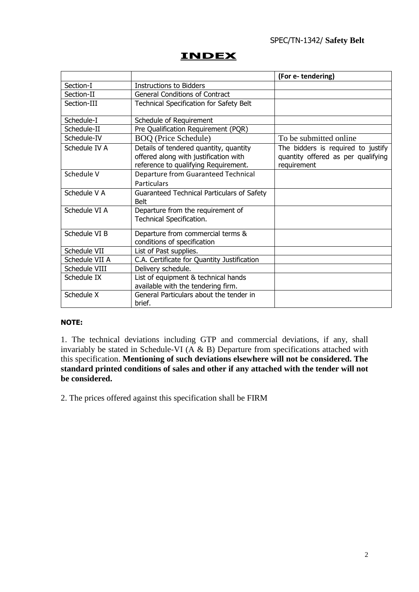# **INDEX**

|                |                                                                                                                         | (For e-tendering)                                                                       |
|----------------|-------------------------------------------------------------------------------------------------------------------------|-----------------------------------------------------------------------------------------|
| Section-I      | <b>Instructions to Bidders</b>                                                                                          |                                                                                         |
| Section-II     | <b>General Conditions of Contract</b>                                                                                   |                                                                                         |
| Section-III    | Technical Specification for Safety Belt                                                                                 |                                                                                         |
| Schedule-I     | Schedule of Requirement                                                                                                 |                                                                                         |
| Schedule-II    | Pre Qualification Requirement (PQR)                                                                                     |                                                                                         |
| Schedule-IV    | <b>BOQ</b> (Price Schedule)                                                                                             | To be submitted online                                                                  |
| Schedule IV A  | Details of tendered quantity, quantity<br>offered along with justification with<br>reference to qualifying Requirement. | The bidders is required to justify<br>quantity offered as per qualifying<br>requirement |
| Schedule V     | <b>Departure from Guaranteed Technical</b><br>Particulars                                                               |                                                                                         |
| Schedule V A   | Guaranteed Technical Particulars of Safety<br><b>Belt</b>                                                               |                                                                                         |
| Schedule VI A  | Departure from the requirement of<br>Technical Specification.                                                           |                                                                                         |
| Schedule VI B  | Departure from commercial terms &<br>conditions of specification                                                        |                                                                                         |
| Schedule VII   | List of Past supplies.                                                                                                  |                                                                                         |
| Schedule VII A | C.A. Certificate for Quantity Justification                                                                             |                                                                                         |
| Schedule VIII  | Delivery schedule.                                                                                                      |                                                                                         |
| Schedule IX    | List of equipment & technical hands<br>available with the tendering firm.                                               |                                                                                         |
| Schedule X     | General Particulars about the tender in<br>brief.                                                                       |                                                                                         |

#### **NOTE:**

1. The technical deviations including GTP and commercial deviations, if any, shall invariably be stated in Schedule-VI ( $\overrightarrow{A}$  & B) Departure from specifications attached with this specification. **Mentioning of such deviations elsewhere will not be considered. The standard printed conditions of sales and other if any attached with the tender will not be considered.**

2. The prices offered against this specification shall be FIRM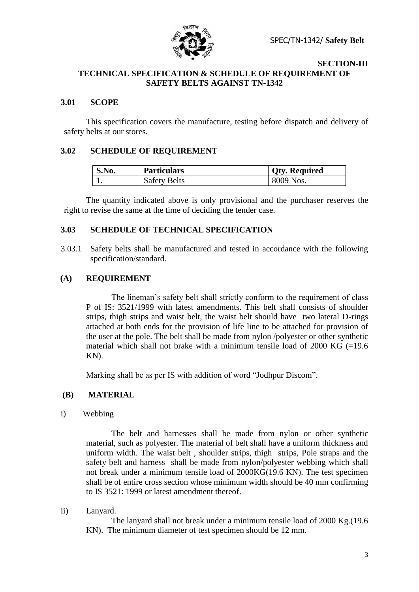

#### **SECTION-III TECHNICAL SPECIFICATION & SCHEDULE OF REQUIREMENT OF SAFETY BELTS AGAINST TN-1342**

#### **3.01 SCOPE**

This specification covers the manufacture, testing before dispatch and delivery of safety belts at our stores.

#### **3.02 SCHEDULE OF REQUIREMENT**

| S.No. | <b>Particulars</b>  | <b>Qty. Required</b> |
|-------|---------------------|----------------------|
|       | <b>Safety Belts</b> | 8009 Nos.            |

The quantity indicated above is only provisional and the purchaser reserves the right to revise the same at the time of deciding the tender case.

#### **3.03 SCHEDULE OF TECHNICAL SPECIFICATION**

3.03.1 Safety belts shall be manufactured and tested in accordance with the following specification/standard.

#### **(A) REQUIREMENT**

The lineman"s safety belt shall strictly conform to the requirement of class P of IS: 3521/1999 with latest amendments. This belt shall consists of shoulder strips, thigh strips and waist belt, the waist belt should have two lateral D-rings attached at both ends for the provision of life line to be attached for provision of the user at the pole. The belt shall be made from nylon /polyester or other synthetic material which shall not brake with a minimum tensile load of  $2000$  KG (=19.6) KN).

Marking shall be as per IS with addition of word "Jodhpur Discom".

#### **(B) MATERIAL**

i) Webbing

The belt and harnesses shall be made from nylon or other synthetic material, such as polyester. The material of belt shall have a uniform thickness and uniform width. The waist belt , shoulder strips, thigh strips, Pole straps and the safety belt and harness shall be made from nylon/polyester webbing which shall not break under a minimum tensile load of 2000KG(19.6 KN). The test specimen shall be of entire cross section whose minimum width should be 40 mm confirming to IS 3521: 1999 or latest amendment thereof.

ii) Lanyard.

The lanyard shall not break under a minimum tensile load of 2000 Kg.(19.6 KN). The minimum diameter of test specimen should be 12 mm.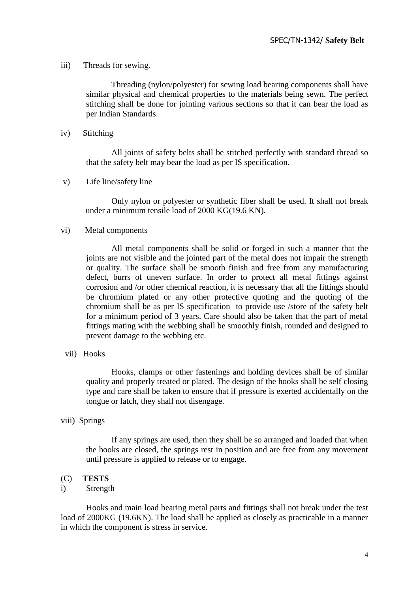#### iii) Threads for sewing.

 Threading (nylon/polyester) for sewing load bearing components shall have similar physical and chemical properties to the materials being sewn. The perfect stitching shall be done for jointing various sections so that it can bear the load as per Indian Standards.

#### iv) Stitching

All joints of safety belts shall be stitched perfectly with standard thread so that the safety belt may bear the load as per IS specification.

v) Life line/safety line

Only nylon or polyester or synthetic fiber shall be used. It shall not break under a minimum tensile load of 2000 KG(19.6 KN).

#### vi) Metal components

 All metal components shall be solid or forged in such a manner that the joints are not visible and the jointed part of the metal does not impair the strength or quality. The surface shall be smooth finish and free from any manufacturing defect, burrs of uneven surface. In order to protect all metal fittings against corrosion and /or other chemical reaction, it is necessary that all the fittings should be chromium plated or any other protective quoting and the quoting of the chromium shall be as per IS specification to provide use /store of the safety belt for a minimum period of 3 years. Care should also be taken that the part of metal fittings mating with the webbing shall be smoothly finish, rounded and designed to prevent damage to the webbing etc.

vii) Hooks

Hooks, clamps or other fastenings and holding devices shall be of similar quality and properly treated or plated. The design of the hooks shall be self closing type and care shall be taken to ensure that if pressure is exerted accidentally on the tongue or latch, they shall not disengage.

#### viii) Springs

If any springs are used, then they shall be so arranged and loaded that when the hooks are closed, the springs rest in position and are free from any movement until pressure is applied to release or to engage.

#### (C) **TESTS**

#### i) Strength

Hooks and main load bearing metal parts and fittings shall not break under the test load of 2000KG (19.6KN). The load shall be applied as closely as practicable in a manner in which the component is stress in service.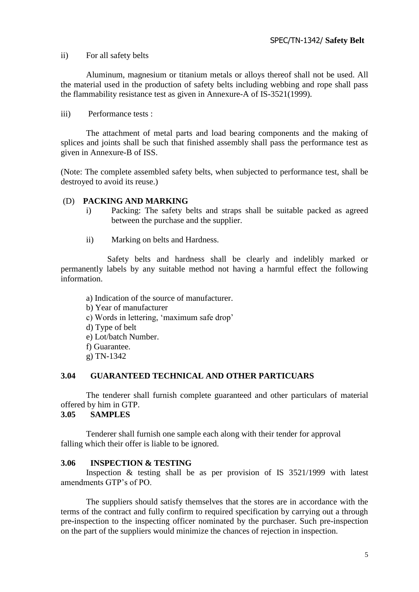ii) For all safety belts

Aluminum, magnesium or titanium metals or alloys thereof shall not be used. All the material used in the production of safety belts including webbing and rope shall pass the flammability resistance test as given in Annexure-A of IS-3521(1999).

iii) Performance tests :

The attachment of metal parts and load bearing components and the making of splices and joints shall be such that finished assembly shall pass the performance test as given in Annexure-B of ISS.

(Note: The complete assembled safety belts, when subjected to performance test, shall be destroyed to avoid its reuse.)

#### (D) **PACKING AND MARKING**

- i) Packing: The safety belts and straps shall be suitable packed as agreed between the purchase and the supplier.
- ii) Marking on belts and Hardness.

 Safety belts and hardness shall be clearly and indelibly marked or permanently labels by any suitable method not having a harmful effect the following information.

a) Indication of the source of manufacturer. b) Year of manufacturer c) Words in lettering, "maximum safe drop" d) Type of belt e) Lot/batch Number. f) Guarantee. g) TN-1342

#### **3.04 GUARANTEED TECHNICAL AND OTHER PARTICUARS**

The tenderer shall furnish complete guaranteed and other particulars of material offered by him in GTP.

#### **3.05 SAMPLES**

Tenderer shall furnish one sample each along with their tender for approval falling which their offer is liable to be ignored.

#### **3.06 INSPECTION & TESTING**

Inspection & testing shall be as per provision of IS 3521/1999 with latest amendments GTP"s of PO.

The suppliers should satisfy themselves that the stores are in accordance with the terms of the contract and fully confirm to required specification by carrying out a through pre-inspection to the inspecting officer nominated by the purchaser. Such pre-inspection on the part of the suppliers would minimize the chances of rejection in inspection.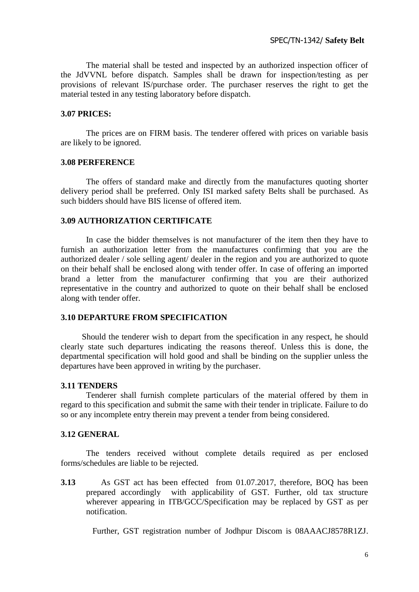The material shall be tested and inspected by an authorized inspection officer of the JdVVNL before dispatch. Samples shall be drawn for inspection/testing as per provisions of relevant IS/purchase order. The purchaser reserves the right to get the material tested in any testing laboratory before dispatch.

#### **3.07 PRICES:**

The prices are on FIRM basis. The tenderer offered with prices on variable basis are likely to be ignored.

#### **3.08 PERFERENCE**

The offers of standard make and directly from the manufactures quoting shorter delivery period shall be preferred. Only ISI marked safety Belts shall be purchased. As such bidders should have BIS license of offered item.

#### **3.09 AUTHORIZATION CERTIFICATE**

In case the bidder themselves is not manufacturer of the item then they have to furnish an authorization letter from the manufactures confirming that you are the authorized dealer / sole selling agent/ dealer in the region and you are authorized to quote on their behalf shall be enclosed along with tender offer. In case of offering an imported brand a letter from the manufacturer confirming that you are their authorized representative in the country and authorized to quote on their behalf shall be enclosed along with tender offer.

#### **3.10 DEPARTURE FROM SPECIFICATION**

 Should the tenderer wish to depart from the specification in any respect, he should clearly state such departures indicating the reasons thereof. Unless this is done, the departmental specification will hold good and shall be binding on the supplier unless the departures have been approved in writing by the purchaser.

#### **3.11 TENDERS**

Tenderer shall furnish complete particulars of the material offered by them in regard to this specification and submit the same with their tender in triplicate. Failure to do so or any incomplete entry therein may prevent a tender from being considered.

#### **3.12 GENERAL**

The tenders received without complete details required as per enclosed forms/schedules are liable to be rejected.

**3.13** As GST act has been effected from 01.07.2017, therefore, BOQ has been prepared accordingly with applicability of GST. Further, old tax structure wherever appearing in ITB/GCC/Specification may be replaced by GST as per notification.

Further, GST registration number of Jodhpur Discom is 08AAACJ8578R1ZJ.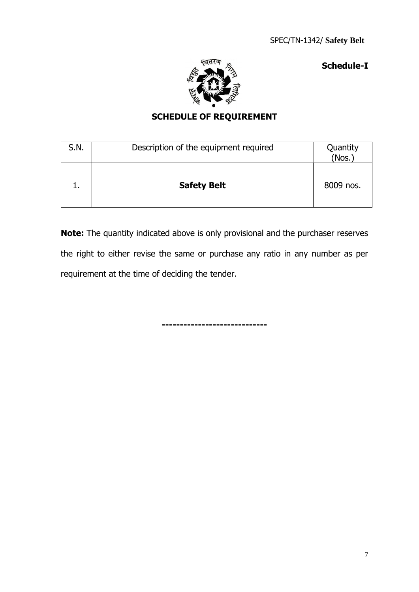**Schedule-I**



# **SCHEDULE OF REQUIREMENT**

| S.N. | Description of the equipment required | Quantity<br>(Nos.) |
|------|---------------------------------------|--------------------|
|      | <b>Safety Belt</b>                    | 8009 nos.          |

**Note:** The quantity indicated above is only provisional and the purchaser reserves the right to either revise the same or purchase any ratio in any number as per requirement at the time of deciding the tender.

**-----------------------------**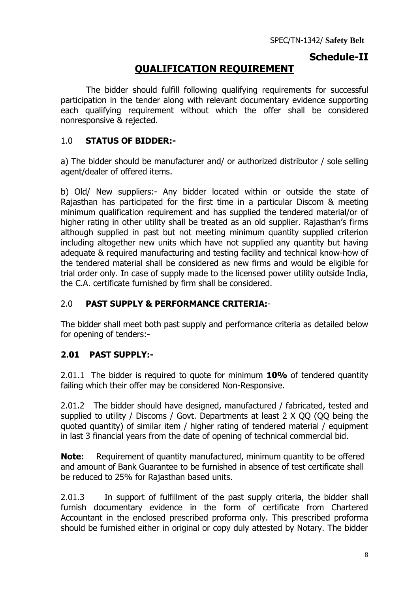# **Schedule-II**

# **QUALIFICATION REQUIREMENT**

The bidder should fulfill following qualifying requirements for successful participation in the tender along with relevant documentary evidence supporting each qualifying requirement without which the offer shall be considered nonresponsive & rejected.

# 1.0 **STATUS OF BIDDER:-**

a) The bidder should be manufacturer and/ or authorized distributor / sole selling agent/dealer of offered items.

b) Old/ New suppliers:- Any bidder located within or outside the state of Rajasthan has participated for the first time in a particular Discom & meeting minimum qualification requirement and has supplied the tendered material/or of higher rating in other utility shall be treated as an old supplier. Rajasthan's firms although supplied in past but not meeting minimum quantity supplied criterion including altogether new units which have not supplied any quantity but having adequate & required manufacturing and testing facility and technical know-how of the tendered material shall be considered as new firms and would be eligible for trial order only. In case of supply made to the licensed power utility outside India, the C.A. certificate furnished by firm shall be considered.

# 2.0 **PAST SUPPLY & PERFORMANCE CRITERIA:**-

The bidder shall meet both past supply and performance criteria as detailed below for opening of tenders:-

# **2.01 PAST SUPPLY:-**

2.01.1 The bidder is required to quote for minimum **10%** of tendered quantity failing which their offer may be considered Non-Responsive.

2.01.2 The bidder should have designed, manufactured / fabricated, tested and supplied to utility / Discoms / Govt. Departments at least 2 X QQ (QQ being the quoted quantity) of similar item / higher rating of tendered material / equipment in last 3 financial years from the date of opening of technical commercial bid.

**Note:** Requirement of quantity manufactured, minimum quantity to be offered and amount of Bank Guarantee to be furnished in absence of test certificate shall be reduced to 25% for Rajasthan based units.

2.01.3 In support of fulfillment of the past supply criteria, the bidder shall furnish documentary evidence in the form of certificate from Chartered Accountant in the enclosed prescribed proforma only. This prescribed proforma should be furnished either in original or copy duly attested by Notary. The bidder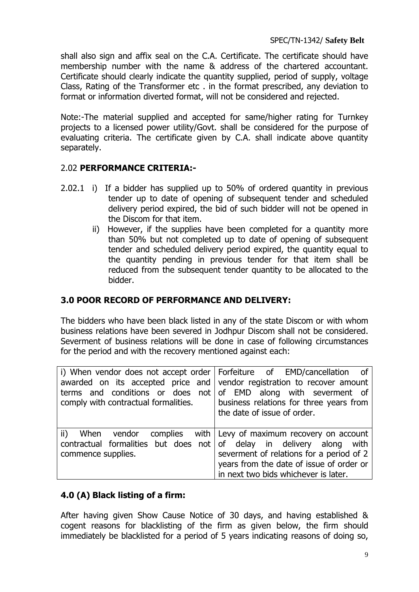shall also sign and affix seal on the C.A. Certificate. The certificate should have membership number with the name & address of the chartered accountant. Certificate should clearly indicate the quantity supplied, period of supply, voltage Class, Rating of the Transformer etc . in the format prescribed, any deviation to format or information diverted format, will not be considered and rejected.

Note:-The material supplied and accepted for same/higher rating for Turnkey projects to a licensed power utility/Govt. shall be considered for the purpose of evaluating criteria. The certificate given by C.A. shall indicate above quantity separately.

# 2.02 **PERFORMANCE CRITERIA:-**

- 2.02.1 i) If a bidder has supplied up to 50% of ordered quantity in previous tender up to date of opening of subsequent tender and scheduled delivery period expired, the bid of such bidder will not be opened in the Discom for that item.
	- ii) However, if the supplies have been completed for a quantity more than 50% but not completed up to date of opening of subsequent tender and scheduled delivery period expired, the quantity equal to the quantity pending in previous tender for that item shall be reduced from the subsequent tender quantity to be allocated to the bidder.

# **3.0 POOR RECORD OF PERFORMANCE AND DELIVERY:**

The bidders who have been black listed in any of the state Discom or with whom business relations have been severed in Jodhpur Discom shall not be considered. Severment of business relations will be done in case of following circumstances for the period and with the recovery mentioned against each:

| comply with contractual formalities.                                 | i) When vendor does not accept order   Forfeiture of EMD/cancellation of<br>awarded on its accepted price and vendor registration to recover amount<br>terms and conditions or does not of EMD along with severment of<br>business relations for three years from<br>the date of issue of order. |  |  |
|----------------------------------------------------------------------|--------------------------------------------------------------------------------------------------------------------------------------------------------------------------------------------------------------------------------------------------------------------------------------------------|--|--|
| ii) When vendor complies with Levy of maximum recovery on account    | severment of relations for a period of 2                                                                                                                                                                                                                                                         |  |  |
| contractual formalities but does not of delay in delivery along with | years from the date of issue of order or                                                                                                                                                                                                                                                         |  |  |
| commence supplies.                                                   | in next two bids whichever is later.                                                                                                                                                                                                                                                             |  |  |

# **4.0 (A) Black listing of a firm:**

After having given Show Cause Notice of 30 days, and having established & cogent reasons for blacklisting of the firm as given below, the firm should immediately be blacklisted for a period of 5 years indicating reasons of doing so,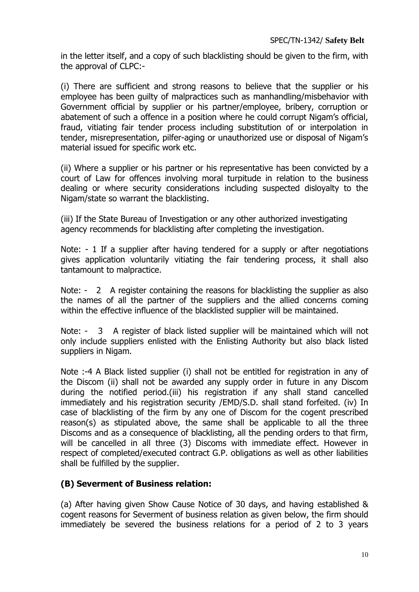in the letter itself, and a copy of such blacklisting should be given to the firm, with the approval of CLPC:-

(i) There are sufficient and strong reasons to believe that the supplier or his employee has been guilty of malpractices such as manhandling/misbehavior with Government official by supplier or his partner/employee, bribery, corruption or abatement of such a offence in a position where he could corrupt Nigam's official, fraud, vitiating fair tender process including substitution of or interpolation in tender, misrepresentation, pilfer-aging or unauthorized use or disposal of Nigam's material issued for specific work etc.

(ii) Where a supplier or his partner or his representative has been convicted by a court of Law for offences involving moral turpitude in relation to the business dealing or where security considerations including suspected disloyalty to the Nigam/state so warrant the blacklisting.

(iii) If the State Bureau of Investigation or any other authorized investigating agency recommends for blacklisting after completing the investigation.

Note: - 1 If a supplier after having tendered for a supply or after negotiations gives application voluntarily vitiating the fair tendering process, it shall also tantamount to malpractice.

Note: - 2 A register containing the reasons for blacklisting the supplier as also the names of all the partner of the suppliers and the allied concerns coming within the effective influence of the blacklisted supplier will be maintained.

Note: - 3 A register of black listed supplier will be maintained which will not only include suppliers enlisted with the Enlisting Authority but also black listed suppliers in Nigam.

Note :-4 A Black listed supplier (i) shall not be entitled for registration in any of the Discom (ii) shall not be awarded any supply order in future in any Discom during the notified period.(iii) his registration if any shall stand cancelled immediately and his registration security /EMD/S.D. shall stand forfeited. (iv) In case of blacklisting of the firm by any one of Discom for the cogent prescribed reason(s) as stipulated above, the same shall be applicable to all the three Discoms and as a consequence of blacklisting, all the pending orders to that firm, will be cancelled in all three (3) Discoms with immediate effect. However in respect of completed/executed contract G.P. obligations as well as other liabilities shall be fulfilled by the supplier.

# **(B) Severment of Business relation:**

(a) After having given Show Cause Notice of 30 days, and having established & cogent reasons for Severment of business relation as given below, the firm should immediately be severed the business relations for a period of 2 to 3 years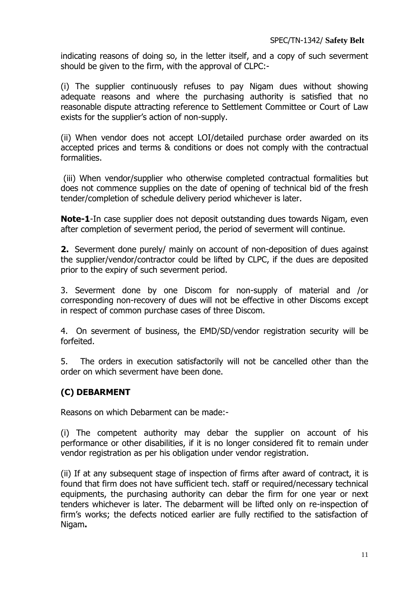indicating reasons of doing so, in the letter itself, and a copy of such severment should be given to the firm, with the approval of CLPC:-

(i) The supplier continuously refuses to pay Nigam dues without showing adequate reasons and where the purchasing authority is satisfied that no reasonable dispute attracting reference to Settlement Committee or Court of Law exists for the supplier's action of non-supply.

(ii) When vendor does not accept LOI/detailed purchase order awarded on its accepted prices and terms & conditions or does not comply with the contractual formalities.

(iii) When vendor/supplier who otherwise completed contractual formalities but does not commence supplies on the date of opening of technical bid of the fresh tender/completion of schedule delivery period whichever is later.

**Note-1**-In case supplier does not deposit outstanding dues towards Nigam, even after completion of severment period, the period of severment will continue.

**2.** Severment done purely/ mainly on account of non-deposition of dues against the supplier/vendor/contractor could be lifted by CLPC, if the dues are deposited prior to the expiry of such severment period.

3. Severment done by one Discom for non-supply of material and /or corresponding non-recovery of dues will not be effective in other Discoms except in respect of common purchase cases of three Discom.

4. On severment of business, the EMD/SD/vendor registration security will be forfeited.

5. The orders in execution satisfactorily will not be cancelled other than the order on which severment have been done.

# **(C) DEBARMENT**

Reasons on which Debarment can be made:-

(i) The competent authority may debar the supplier on account of his performance or other disabilities, if it is no longer considered fit to remain under vendor registration as per his obligation under vendor registration.

(ii) If at any subsequent stage of inspection of firms after award of contract, it is found that firm does not have sufficient tech. staff or required/necessary technical equipments, the purchasing authority can debar the firm for one year or next tenders whichever is later. The debarment will be lifted only on re-inspection of firm's works; the defects noticed earlier are fully rectified to the satisfaction of Nigam**.**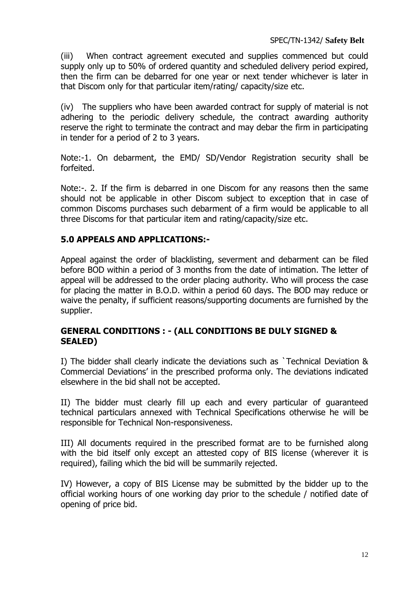(iii) When contract agreement executed and supplies commenced but could supply only up to 50% of ordered quantity and scheduled delivery period expired, then the firm can be debarred for one year or next tender whichever is later in that Discom only for that particular item/rating/ capacity/size etc.

(iv) The suppliers who have been awarded contract for supply of material is not adhering to the periodic delivery schedule, the contract awarding authority reserve the right to terminate the contract and may debar the firm in participating in tender for a period of 2 to 3 years.

Note:-1. On debarment, the EMD/ SD/Vendor Registration security shall be forfeited.

Note:-. 2. If the firm is debarred in one Discom for any reasons then the same should not be applicable in other Discom subject to exception that in case of common Discoms purchases such debarment of a firm would be applicable to all three Discoms for that particular item and rating/capacity/size etc.

# **5.0 APPEALS AND APPLICATIONS:-**

Appeal against the order of blacklisting, severment and debarment can be filed before BOD within a period of 3 months from the date of intimation. The letter of appeal will be addressed to the order placing authority. Who will process the case for placing the matter in B.O.D. within a period 60 days. The BOD may reduce or waive the penalty, if sufficient reasons/supporting documents are furnished by the supplier.

# **GENERAL CONDITIONS : - (ALL CONDITIONS BE DULY SIGNED & SEALED)**

I) The bidder shall clearly indicate the deviations such as `Technical Deviation & Commercial Deviations' in the prescribed proforma only. The deviations indicated elsewhere in the bid shall not be accepted.

II) The bidder must clearly fill up each and every particular of guaranteed technical particulars annexed with Technical Specifications otherwise he will be responsible for Technical Non-responsiveness.

III) All documents required in the prescribed format are to be furnished along with the bid itself only except an attested copy of BIS license (wherever it is required), failing which the bid will be summarily rejected.

IV) However, a copy of BIS License may be submitted by the bidder up to the official working hours of one working day prior to the schedule / notified date of opening of price bid.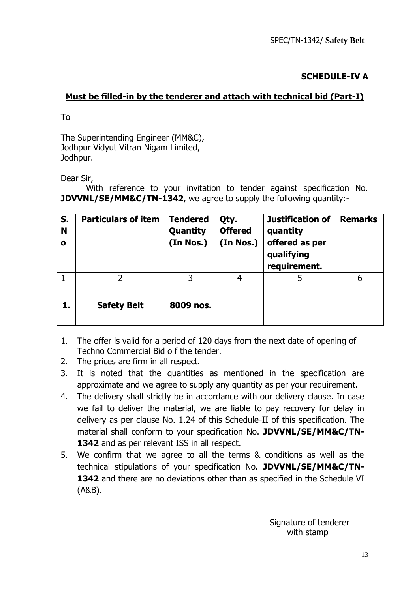# **SCHEDULE-IV A**

# **Must be filled-in by the tenderer and attach with technical bid (Part-I)**

To

The Superintending Engineer (MM&C), Jodhpur Vidyut Vitran Nigam Limited, Jodhpur.

Dear Sir,

With reference to your invitation to tender against specification No. **JDVVNL/SE/MM&C/TN-1342**, we agree to supply the following quantity:-

| S.<br>N<br>$\mathbf o$ | <b>Particulars of item</b> | <b>Tendered</b><br>Quantity<br>(In Nos.) | Qty.<br><b>Offered</b><br>(In Nos.) | Justification of<br>quantity<br>offered as per<br>qualifying<br>requirement. | <b>Remarks</b> |
|------------------------|----------------------------|------------------------------------------|-------------------------------------|------------------------------------------------------------------------------|----------------|
|                        | 2                          | 3                                        | 4                                   | 5                                                                            | 6              |
| ı.                     | <b>Safety Belt</b>         | 8009 nos.                                |                                     |                                                                              |                |

- 1. The offer is valid for a period of 120 days from the next date of opening of Techno Commercial Bid o f the tender.
- 2. The prices are firm in all respect.
- 3. It is noted that the quantities as mentioned in the specification are approximate and we agree to supply any quantity as per your requirement.
- 4. The delivery shall strictly be in accordance with our delivery clause. In case we fail to deliver the material, we are liable to pay recovery for delay in delivery as per clause No. 1.24 of this Schedule-II of this specification. The material shall conform to your specification No. **JDVVNL/SE/MM&C/TN-**1342 and as per relevant ISS in all respect.
- 5. We confirm that we agree to all the terms & conditions as well as the technical stipulations of your specification No. **JDVVNL/SE/MM&C/TN-1342** and there are no deviations other than as specified in the Schedule VI (A&B).

 Signature of tenderer with stamp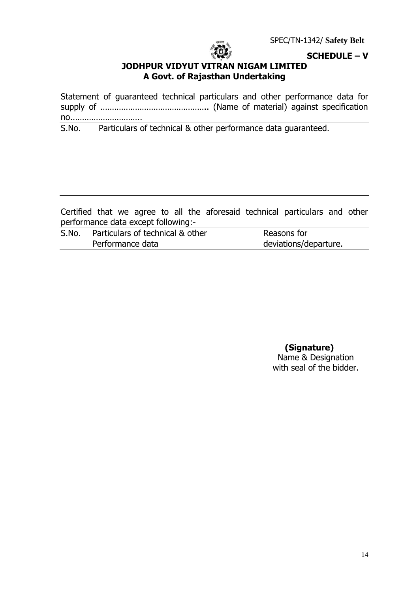

**SCHEDULE – V**

# **JODHPUR VIDYUT VITRAN NIGAM LIMITED A Govt. of Rajasthan Undertaking**

Statement of guaranteed technical particulars and other performance data for supply of ……………………………………….. (Name of material) against specification no..………………………..

S.No. Particulars of technical & other performance data guaranteed.

Certified that we agree to all the aforesaid technical particulars and other performance data except following:-

| S.No. | Particulars of technical & other | Reasons for           |
|-------|----------------------------------|-----------------------|
|       | Performance data                 | deviations/departure. |

 **(Signature)** Name & Designation with seal of the bidder.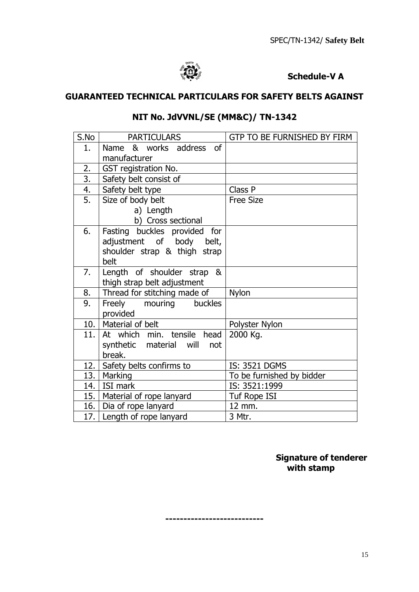

# **Schedule-V A**

# **GUARANTEED TECHNICAL PARTICULARS FOR SAFETY BELTS AGAINST**

| S.No             | <b>PARTICULARS</b>                   | GTP TO BE FURNISHED BY FIRM |
|------------------|--------------------------------------|-----------------------------|
| 1.               | <b>of</b><br>& works address<br>Name |                             |
|                  | manufacturer                         |                             |
| 2.               | GST registration No.                 |                             |
| $\overline{3}$ . | Safety belt consist of               |                             |
| 4.               | Safety belt type                     | Class P                     |
| 5.               | Size of body belt                    | <b>Free Size</b>            |
|                  | a) Length                            |                             |
|                  | b) Cross sectional                   |                             |
| 6.               | Fasting buckles provided for         |                             |
|                  | adjustment of body<br>belt,          |                             |
|                  | shoulder strap & thigh strap         |                             |
|                  | belt                                 |                             |
| 7.               | Length of shoulder strap<br>&        |                             |
|                  | thigh strap belt adjustment          |                             |
| 8.               | Thread for stitching made of         | <b>Nylon</b>                |
| 9.               | Freely<br>mouring<br>buckles         |                             |
|                  | provided                             |                             |
| 10.              | Material of belt                     | Polyster Nylon              |
| 11.              | At which min. tensile<br>head        | 2000 Kg.                    |
|                  | synthetic material will<br>not       |                             |
|                  | break.                               |                             |
| 12.              | Safety belts confirms to             | IS: 3521 DGMS               |
| 13. l            | Marking                              | To be furnished by bidder   |
|                  | 14.   ISI mark                       | IS: 3521:1999               |
|                  | 15.   Material of rope lanyard       | Tuf Rope ISI                |
| 16.              | Dia of rope lanyard                  | 12 mm.                      |
|                  | 17. Length of rope lanyard           | 3 Mtr.                      |

# **NIT No. JdVVNL/SE (MM&C)/ TN-1342**

 **Signature of tenderer with stamp**

**---------------------------**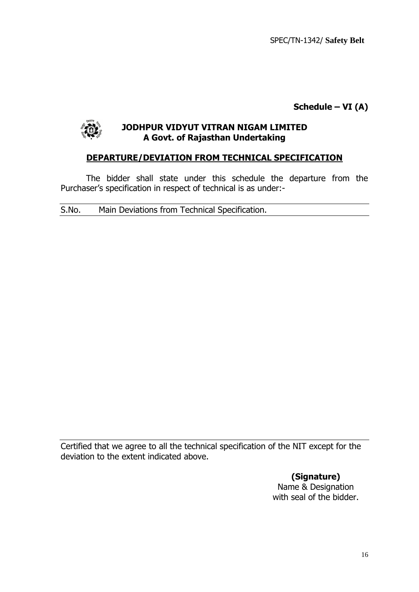SPEC/TN-1342/ **Safety Belt**

**Schedule – VI (A)**



# **JODHPUR VIDYUT VITRAN NIGAM LIMITED A Govt. of Rajasthan Undertaking**

# **DEPARTURE/DEVIATION FROM TECHNICAL SPECIFICATION**

The bidder shall state under this schedule the departure from the Purchaser's specification in respect of technical is as under:-

S.No. Main Deviations from Technical Specification.

Certified that we agree to all the technical specification of the NIT except for the deviation to the extent indicated above.

> **(Signature)** Name & Designation with seal of the bidder.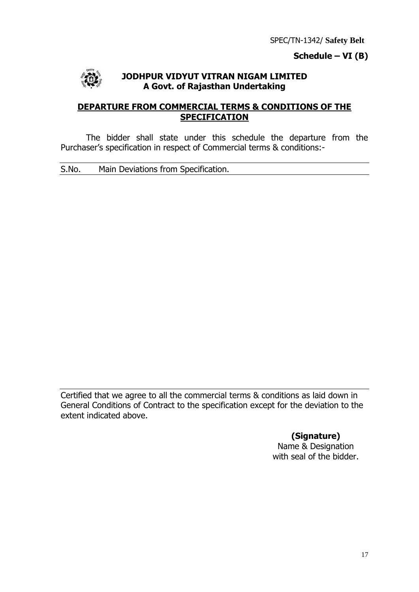# **Schedule – VI (B)**



## **JODHPUR VIDYUT VITRAN NIGAM LIMITED A Govt. of Rajasthan Undertaking**

# **DEPARTURE FROM COMMERCIAL TERMS & CONDITIONS OF THE SPECIFICATION**

The bidder shall state under this schedule the departure from the Purchaser's specification in respect of Commercial terms & conditions:-

S.No. Main Deviations from Specification.

Certified that we agree to all the commercial terms & conditions as laid down in General Conditions of Contract to the specification except for the deviation to the extent indicated above.

# **(Signature)**

Name & Designation with seal of the bidder.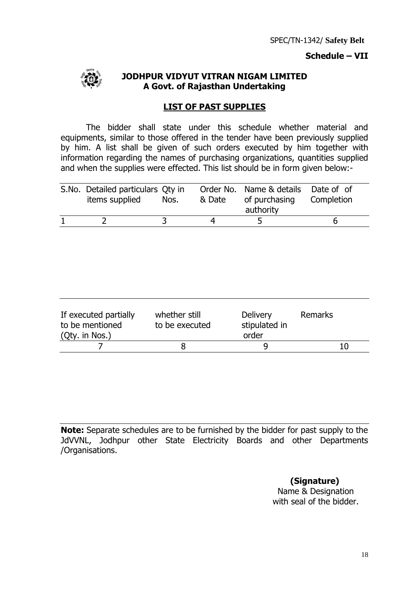# **Schedule – VII**



## **JODHPUR VIDYUT VITRAN NIGAM LIMITED A Govt. of Rajasthan Undertaking**

#### **LIST OF PAST SUPPLIES**

The bidder shall state under this schedule whether material and equipments, similar to those offered in the tender have been previously supplied by him. A list shall be given of such orders executed by him together with information regarding the names of purchasing organizations, quantities supplied and when the supplies were effected. This list should be in form given below:-

| S.No. Detailed particulars Qty in<br>items supplied | Nos. | Order No. Name & details Date of of<br>& Date of purchasing Completion<br>authority |  |
|-----------------------------------------------------|------|-------------------------------------------------------------------------------------|--|
|                                                     |      |                                                                                     |  |

| If executed partially<br>to be mentioned<br>(Qty. in Nos.) | whether still<br>to be executed | Delivery<br>stipulated in<br>order | Remarks |
|------------------------------------------------------------|---------------------------------|------------------------------------|---------|
|                                                            |                                 |                                    | 10      |

**Note:** Separate schedules are to be furnished by the bidder for past supply to the JdVVNL, Jodhpur other State Electricity Boards and other Departments /Organisations.

> **(Signature)** Name & Designation with seal of the bidder.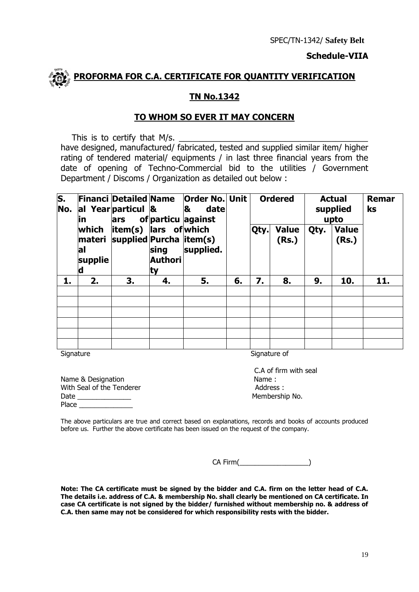#### **Schedule-VIIA**



#### **TN No.1342**

#### **TO WHOM SO EVER IT MAY CONCERN**

This is to certify that  $M/s$ .

have designed, manufactured/ fabricated, tested and supplied similar item/ higher rating of tendered material/ equipments / in last three financial years from the date of opening of Techno-Commercial bid to the utilities / Government Department / Discoms / Organization as detailed out below :

| $\overline{\mathsf{s}}$ .<br>No. | lin.                         | al Year particul &<br>ars                                |                        | <b>Financi Detailed Name   Order No. Unit  </b><br>&<br>date<br>of particu against |    | <b>Ordered</b> |                       | <b>Actual</b><br>supplied<br>upto |                       | Remar<br>ks |
|----------------------------------|------------------------------|----------------------------------------------------------|------------------------|------------------------------------------------------------------------------------|----|----------------|-----------------------|-----------------------------------|-----------------------|-------------|
|                                  | which<br>lal<br>supplie<br>d | $item(s)$ ars of which<br>materi supplied Purcha item(s) | sing<br>Authori<br>ity | supplied.                                                                          |    | Qty.           | <b>Value</b><br>(Rs.) | Qty.                              | <b>Value</b><br>(Rs.) |             |
| 1.                               | 2.                           | 3.                                                       | 4.                     | 5.                                                                                 | 6. | 7.             | 8.                    | 9.                                | 10.                   | 11.         |
|                                  |                              |                                                          |                        |                                                                                    |    |                |                       |                                   |                       |             |
|                                  |                              |                                                          |                        |                                                                                    |    |                |                       |                                   |                       |             |
|                                  |                              |                                                          |                        |                                                                                    |    |                |                       |                                   |                       |             |
|                                  |                              |                                                          |                        |                                                                                    |    |                |                       |                                   |                       |             |
|                                  |                              |                                                          |                        |                                                                                    |    |                |                       |                                   |                       |             |
|                                  |                              |                                                          |                        |                                                                                    |    |                |                       |                                   |                       |             |

Signature Signature of Signature of Signature of Signature of Signature of Signature of Signature of Signature of Signature of Signature of Signature of Signature of Signature of Signature of Signature of Signature of Sign

| Name & Designation        | Name:          |
|---------------------------|----------------|
| With Seal of the Tenderer | Address        |
| Date                      | <b>Members</b> |
| <b>Place</b>              |                |

 C.A of firm with seal Address : Membership No.

The above particulars are true and correct based on explanations, records and books of accounts produced before us. Further the above certificate has been issued on the request of the company.

CA Firm(

**Note: The CA certificate must be signed by the bidder and C.A. firm on the letter head of C.A. The details i.e. address of C.A. & membership No. shall clearly be mentioned on CA certificate. In case CA certificate is not signed by the bidder/ furnished without membership no. & address of C.A. then same may not be considered for which responsibility rests with the bidder.**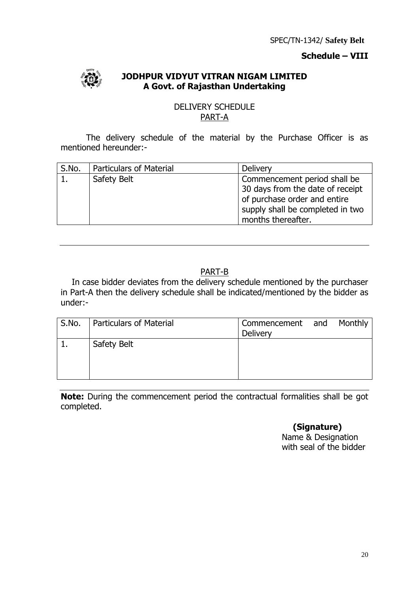# **Schedule – VIII**



# **JODHPUR VIDYUT VITRAN NIGAM LIMITED A Govt. of Rajasthan Undertaking**

#### DELIVERY SCHEDULE PART-A

The delivery schedule of the material by the Purchase Officer is as mentioned hereunder:-

| S.No. | <b>Particulars of Material</b> | <b>Delivery</b>                  |
|-------|--------------------------------|----------------------------------|
|       | Safety Belt                    | Commencement period shall be     |
|       |                                | 30 days from the date of receipt |
|       |                                | of purchase order and entire     |
|       |                                | supply shall be completed in two |
|       |                                | months thereafter.               |

# PART-B

In case bidder deviates from the delivery schedule mentioned by the purchaser in Part-A then the delivery schedule shall be indicated/mentioned by the bidder as under:-

| S.No. | <b>Particulars of Material</b> | Commencement and<br>Delivery | Monthly |
|-------|--------------------------------|------------------------------|---------|
|       | Safety Belt                    |                              |         |

**Note:** During the commencement period the contractual formalities shall be got completed.

# **(Signature)**

 Name & Designation with seal of the bidder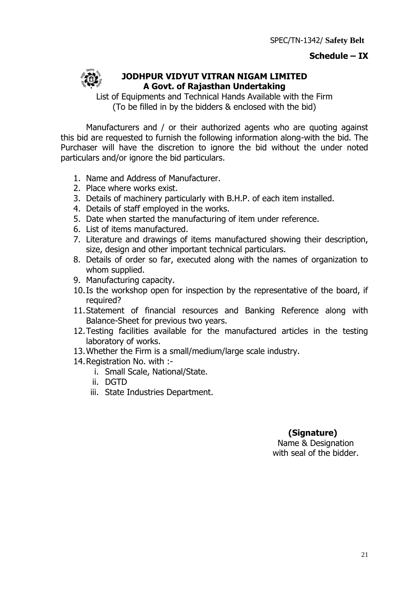# **Schedule – IX**



# **JODHPUR VIDYUT VITRAN NIGAM LIMITED A Govt. of Rajasthan Undertaking**

List of Equipments and Technical Hands Available with the Firm (To be filled in by the bidders & enclosed with the bid)

Manufacturers and / or their authorized agents who are quoting against this bid are requested to furnish the following information along-with the bid. The Purchaser will have the discretion to ignore the bid without the under noted particulars and/or ignore the bid particulars.

- 1. Name and Address of Manufacturer.
- 2. Place where works exist.
- 3. Details of machinery particularly with B.H.P. of each item installed.
- 4. Details of staff employed in the works.
- 5. Date when started the manufacturing of item under reference.
- 6. List of items manufactured.
- 7. Literature and drawings of items manufactured showing their description, size, design and other important technical particulars.
- 8. Details of order so far, executed along with the names of organization to whom supplied.
- 9. Manufacturing capacity.
- 10.Is the workshop open for inspection by the representative of the board, if required?
- 11.Statement of financial resources and Banking Reference along with Balance-Sheet for previous two years.
- 12.Testing facilities available for the manufactured articles in the testing laboratory of works.
- 13.Whether the Firm is a small/medium/large scale industry.
- 14.Registration No. with :
	- i. Small Scale, National/State.
	- ii. DGTD
	- iii. State Industries Department.

# **(Signature)**

Name & Designation with seal of the bidder.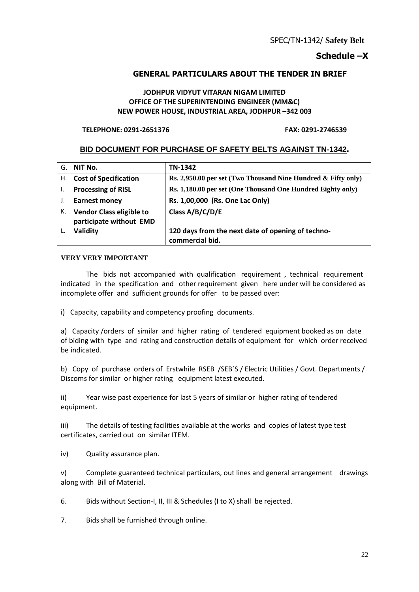# **Schedule –X**

# **GENERAL PARTICULARS ABOUT THE TENDER IN BRIEF**

#### **JODHPUR VIDYUT VITARAN NIGAM LIMITED OFFICE OF THE SUPERINTENDING ENGINEER (MM&C) NEW POWER HOUSE, INDUSTRIAL AREA, JODHPUR –342 003**

#### **TELEPHONE: 0291-2651376 FAX: 0291-2746539**

# **BID DOCUMENT FOR PURCHASE OF SAFETY BELTS AGAINST TN-1342.**

| G. | NIT No.                                                    | TN-1342                                                       |
|----|------------------------------------------------------------|---------------------------------------------------------------|
| Η. | <b>Cost of Specification</b>                               | Rs. 2,950.00 per set (Two Thousand Nine Hundred & Fifty only) |
| ۱. | <b>Processing of RISL</b>                                  | Rs. 1,180.00 per set (One Thousand One Hundred Eighty only)   |
|    | <b>Earnest money</b>                                       | Rs. 1,00,000 (Rs. One Lac Only)                               |
| к. | <b>Vendor Class eligible to</b><br>participate without EMD | Class A/B/C/D/E                                               |
|    | Validity                                                   | 120 days from the next date of opening of techno-             |
|    |                                                            | commercial bid.                                               |

#### **VERY VERY IMPORTANT**

 The bids not accompanied with qualification requirement , technical requirement indicated in the specification and other requirement given here under will be considered as incomplete offer and sufficient grounds for offer to be passed over:

i) Capacity, capability and competency proofing documents.

a) Capacity /orders of similar and higher rating of tendered equipment booked as on date of biding with type and rating and construction details of equipment for which order received be indicated.

b) Copy of purchase orders of Erstwhile RSEB /SEB`S / Electric Utilities / Govt. Departments / Discoms for similar or higher rating equipment latest executed.

ii) Year wise past experience for last 5 years of similar or higher rating of tendered equipment.

iii) The details of testing facilities available at the works and copies of latest type test certificates, carried out on similar ITEM.

iv) Quality assurance plan.

v) Complete guaranteed technical particulars, out lines and general arrangement drawings along with Bill of Material.

6. Bids without Section-I, II, III & Schedules (I to X) shall be rejected.

7. Bids shall be furnished through online.